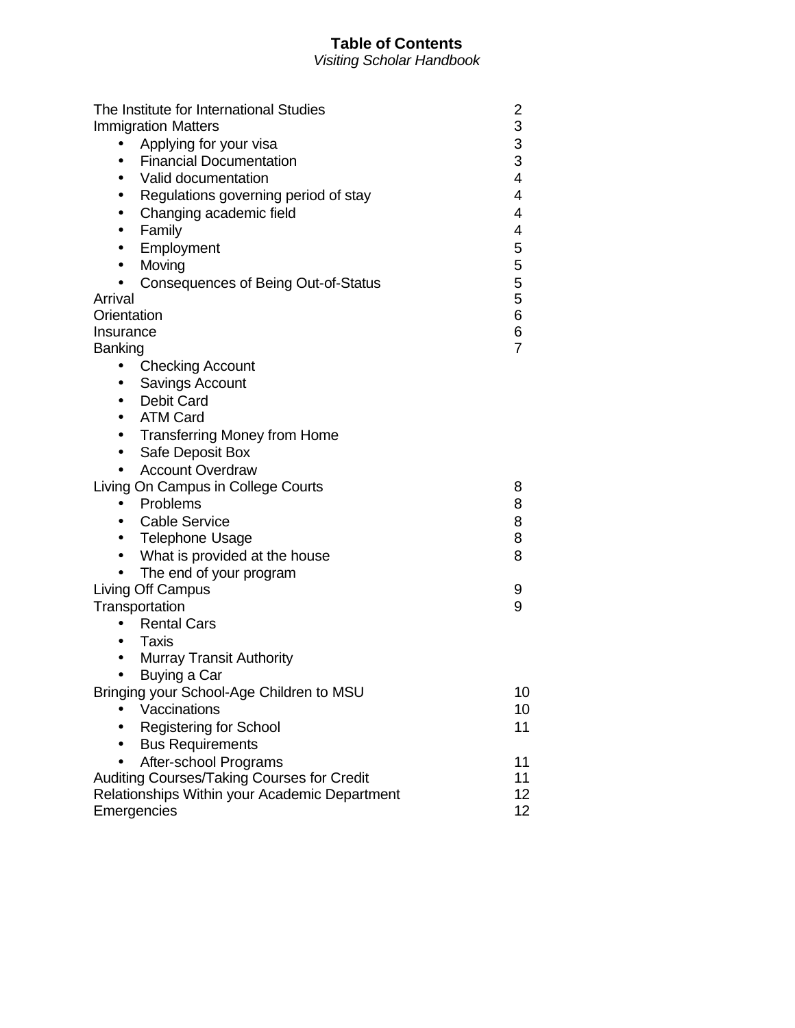## **Table of Contents**

*Visiting Scholar Handbook*

| The Institute for International Studies           | 2                   |
|---------------------------------------------------|---------------------|
| <b>Immigration Matters</b>                        | 3                   |
| Applying for your visa<br>$\bullet$               | 3<br>3              |
| <b>Financial Documentation</b><br>$\bullet$       | $\overline{4}$      |
| Valid documentation<br>$\bullet$                  |                     |
| Regulations governing period of stay<br>$\bullet$ | 4                   |
| Changing academic field<br>$\bullet$              | $\overline{4}$      |
| Family<br>$\bullet$                               | 4                   |
| Employment<br>$\bullet$                           | 5                   |
| Moving<br>$\bullet$                               | 5                   |
| <b>Consequences of Being Out-of-Status</b>        |                     |
| Arrival                                           | 5<br>5<br>6         |
| Orientation                                       |                     |
| Insurance                                         | 6<br>$\overline{7}$ |
| Banking                                           |                     |
| <b>Checking Account</b><br>$\bullet$              |                     |
| Savings Account<br>$\bullet$                      |                     |
| <b>Debit Card</b><br>$\bullet$                    |                     |
| <b>ATM Card</b><br>$\bullet$                      |                     |
| <b>Transferring Money from Home</b><br>$\bullet$  |                     |
| Safe Deposit Box<br>$\bullet$                     |                     |
| <b>Account Overdraw</b>                           |                     |
| Living On Campus in College Courts                | 8                   |
| Problems<br>$\bullet$                             | 8                   |
| <b>Cable Service</b><br>$\bullet$                 | 8                   |
| <b>Telephone Usage</b><br>$\bullet$               | 8                   |
| What is provided at the house<br>$\bullet$        | 8                   |
| The end of your program                           |                     |
| Living Off Campus                                 | 9                   |
| Transportation                                    | 9                   |
| <b>Rental Cars</b>                                |                     |
| <b>Taxis</b><br>$\bullet$                         |                     |
| <b>Murray Transit Authority</b><br>$\bullet$      |                     |
| Buying a Car<br>$\bullet$                         |                     |
| Bringing your School-Age Children to MSU          | 10                  |
| Vaccinations                                      | 10                  |
| Registering for School                            | 11                  |
| <b>Bus Requirements</b>                           |                     |
| After-school Programs                             | 11                  |
| Auditing Courses/Taking Courses for Credit        | 11                  |
| Relationships Within your Academic Department     | 12 <sub>2</sub>     |
| Emergencies                                       | 12 <sub>2</sub>     |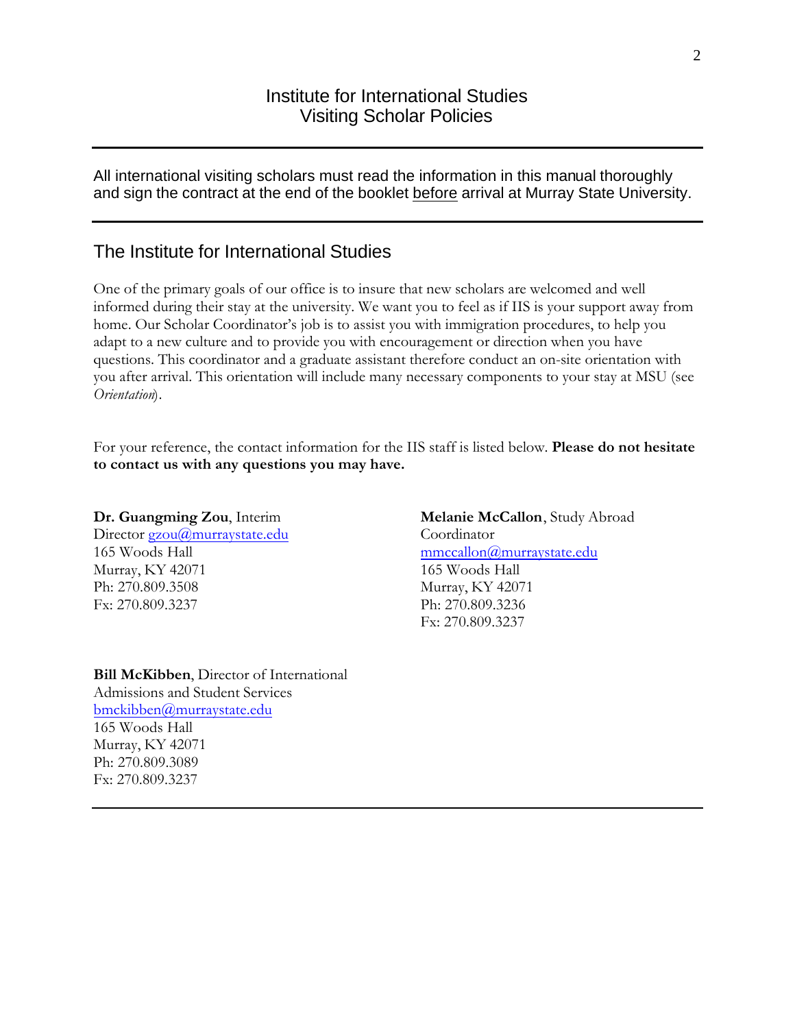## Institute for International Studies Visiting Scholar Policies

All international visiting scholars must read the information in this manual thoroughly and sign the contract at the end of the booklet before arrival at Murray State University.

## The Institute for International Studies

One of the primary goals of our office is to insure that new scholars are welcomed and well informed during their stay at the university. We want you to feel as if IIS is your support away from home. Our Scholar Coordinator's job is to assist you with immigration procedures, to help you adapt to a new culture and to provide you with encouragement or direction when you have questions. This coordinator and a graduate assistant therefore conduct an on-site orientation with you after arrival. This orientation will include many necessary components to your stay at MSU (see *Orientation*).

For your reference, the contact information for the IIS staff is listed below. **Please do not hesitate to contact us with any questions you may have.**

#### **Dr. Guangming Zou**, Interim

Director gzou@murraystate.edu 165 Woods Hall Murray, KY 42071 Ph: 270.809.3508 Fx: 270.809.3237

**Bill McKibben**, Director of International Admissions and Student Services bmckibben@murraystate.edu 165 Woods Hall Murray, KY 42071 Ph: 270.809.3089 Fx: 270.809.3237

**Melanie McCallon**, Study Abroad Coordinator mmccallon@murraystate.edu 165 Woods Hall Murray, KY 42071 Ph: 270.809.3236 Fx: 270.809.3237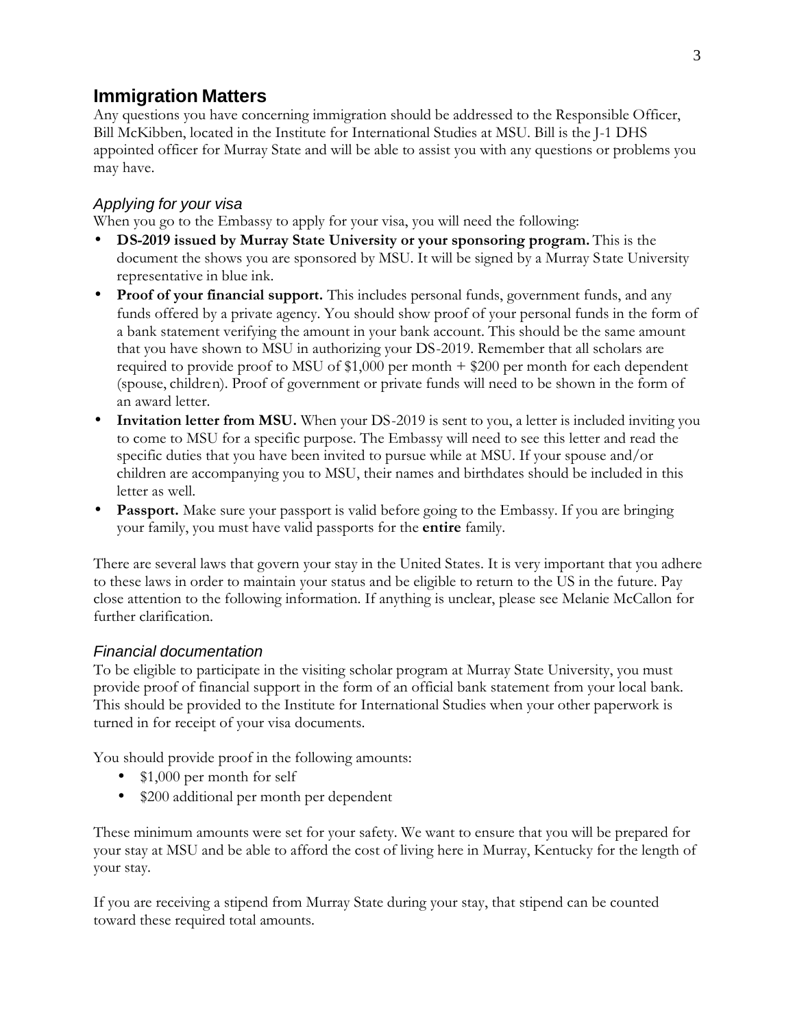# **Immigration Matters**

Any questions you have concerning immigration should be addressed to the Responsible Officer, Bill McKibben, located in the Institute for International Studies at MSU. Bill is the J-1 DHS appointed officer for Murray State and will be able to assist you with any questions or problems you may have.

### *Applying for your visa*

When you go to the Embassy to apply for your visa, you will need the following:

- **DS-2019 issued by Murray State University or your sponsoring program.** This is the document the shows you are sponsored by MSU. It will be signed by a Murray State University representative in blue ink.
- **Proof of your financial support.** This includes personal funds, government funds, and any funds offered by a private agency. You should show proof of your personal funds in the form of a bank statement verifying the amount in your bank account. This should be the same amount that you have shown to MSU in authorizing your DS-2019. Remember that all scholars are required to provide proof to MSU of \$1,000 per month + \$200 per month for each dependent (spouse, children). Proof of government or private funds will need to be shown in the form of an award letter.
- **Invitation letter from MSU.** When your DS-2019 is sent to you, a letter is included inviting you to come to MSU for a specific purpose. The Embassy will need to see this letter and read the specific duties that you have been invited to pursue while at MSU. If your spouse and/or children are accompanying you to MSU, their names and birthdates should be included in this letter as well.
- **Passport.** Make sure your passport is valid before going to the Embassy. If you are bringing your family, you must have valid passports for the **entire** family.

There are several laws that govern your stay in the United States. It is very important that you adhere to these laws in order to maintain your status and be eligible to return to the US in the future. Pay close attention to the following information. If anything is unclear, please see Melanie McCallon for further clarification.

#### *Financial documentation*

To be eligible to participate in the visiting scholar program at Murray State University, you must provide proof of financial support in the form of an official bank statement from your local bank. This should be provided to the Institute for International Studies when your other paperwork is turned in for receipt of your visa documents.

You should provide proof in the following amounts:

- \$1,000 per month for self
- \$200 additional per month per dependent

These minimum amounts were set for your safety. We want to ensure that you will be prepared for your stay at MSU and be able to afford the cost of living here in Murray, Kentucky for the length of your stay.

If you are receiving a stipend from Murray State during your stay, that stipend can be counted toward these required total amounts.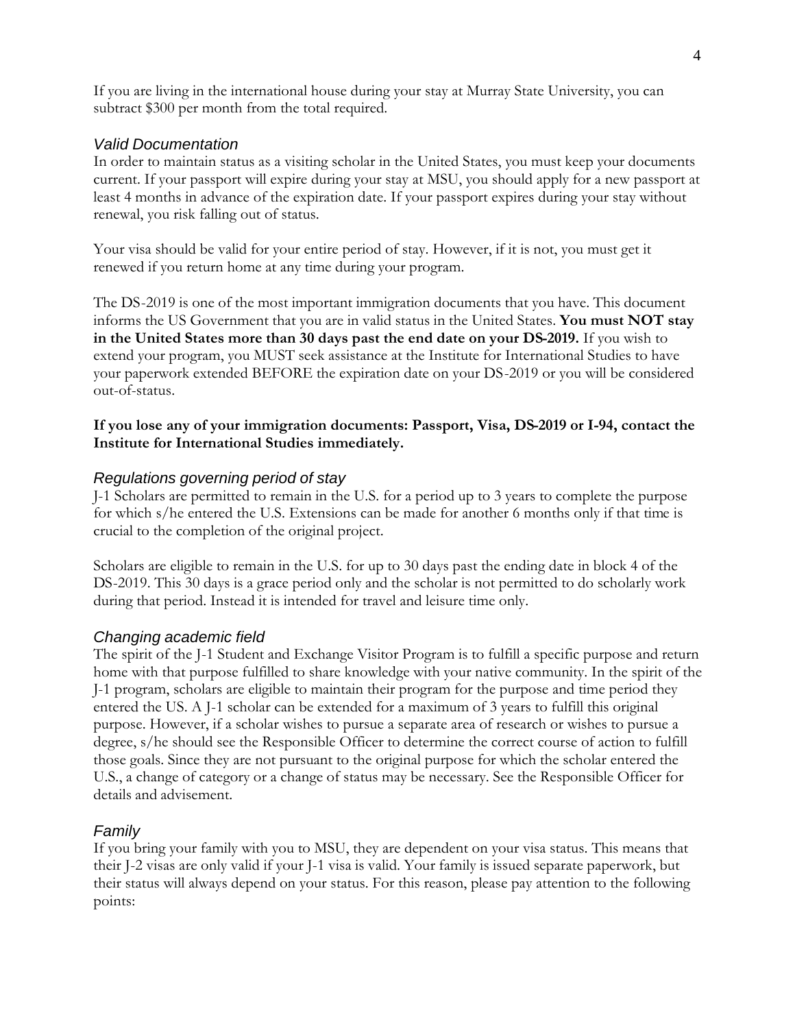If you are living in the international house during your stay at Murray State University, you can subtract \$300 per month from the total required.

### *Valid Documentation*

In order to maintain status as a visiting scholar in the United States, you must keep your documents current. If your passport will expire during your stay at MSU, you should apply for a new passport at least 4 months in advance of the expiration date. If your passport expires during your stay without renewal, you risk falling out of status.

Your visa should be valid for your entire period of stay. However, if it is not, you must get it renewed if you return home at any time during your program.

The DS-2019 is one of the most important immigration documents that you have. This document informs the US Government that you are in valid status in the United States. **You must NOT stay in the United States more than 30 days past the end date on your DS-2019.** If you wish to extend your program, you MUST seek assistance at the Institute for International Studies to have your paperwork extended BEFORE the expiration date on your DS-2019 or you will be considered out-of-status.

#### **If you lose any of your immigration documents: Passport, Visa, DS-2019 or I-94, contact the Institute for International Studies immediately.**

#### *Regulations governing period of stay*

J-1 Scholars are permitted to remain in the U.S. for a period up to 3 years to complete the purpose for which s/he entered the U.S. Extensions can be made for another 6 months only if that time is crucial to the completion of the original project.

Scholars are eligible to remain in the U.S. for up to 30 days past the ending date in block 4 of the DS-2019. This 30 days is a grace period only and the scholar is not permitted to do scholarly work during that period. Instead it is intended for travel and leisure time only.

#### *Changing academic field*

The spirit of the J-1 Student and Exchange Visitor Program is to fulfill a specific purpose and return home with that purpose fulfilled to share knowledge with your native community. In the spirit of the J-1 program, scholars are eligible to maintain their program for the purpose and time period they entered the US. A J-1 scholar can be extended for a maximum of 3 years to fulfill this original purpose. However, if a scholar wishes to pursue a separate area of research or wishes to pursue a degree, s/he should see the Responsible Officer to determine the correct course of action to fulfill those goals. Since they are not pursuant to the original purpose for which the scholar entered the U.S., a change of category or a change of status may be necessary. See the Responsible Officer for details and advisement.

### *Family*

If you bring your family with you to MSU, they are dependent on your visa status. This means that their J-2 visas are only valid if your J-1 visa is valid. Your family is issued separate paperwork, but their status will always depend on your status. For this reason, please pay attention to the following points: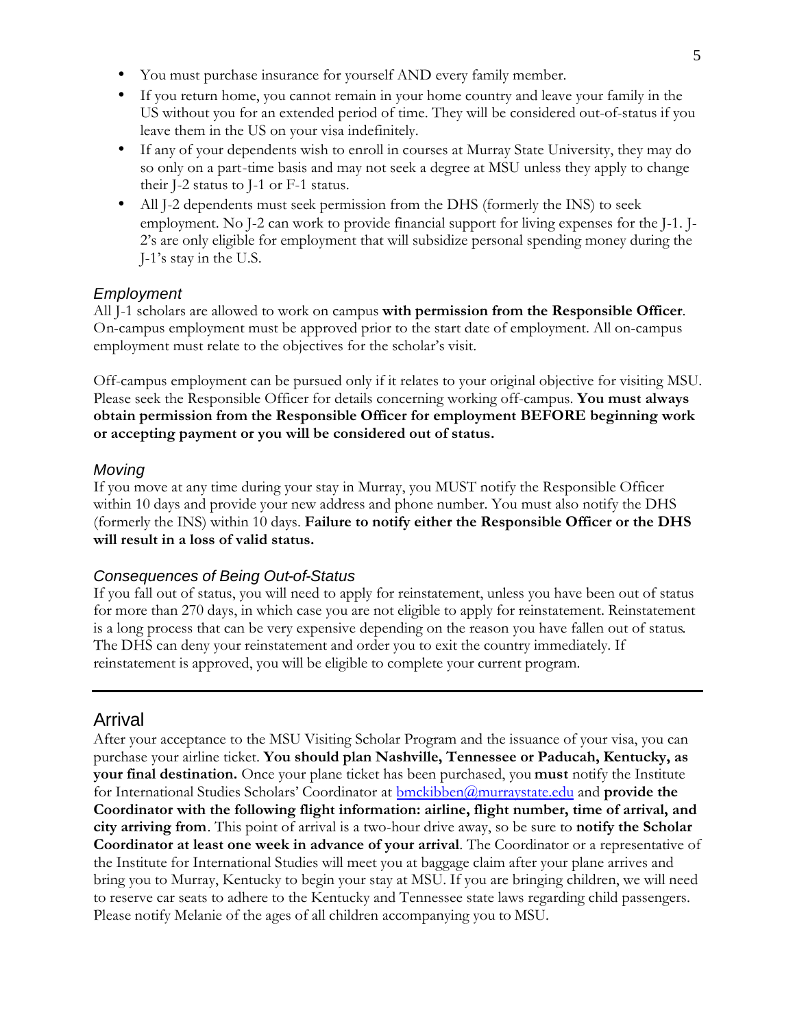- You must purchase insurance for yourself AND every family member.
- If you return home, you cannot remain in your home country and leave your family in the US without you for an extended period of time. They will be considered out-of-status if you leave them in the US on your visa indefinitely.
- If any of your dependents wish to enroll in courses at Murray State University, they may do so only on a part-time basis and may not seek a degree at MSU unless they apply to change their J-2 status to J-1 or F-1 status.
- All J-2 dependents must seek permission from the DHS (formerly the INS) to seek employment. No J-2 can work to provide financial support for living expenses for the J-1. J-2's are only eligible for employment that will subsidize personal spending money during the J-1's stay in the U.S.

#### *Employment*

All J-1 scholars are allowed to work on campus **with permission from the Responsible Officer**. On-campus employment must be approved prior to the start date of employment. All on-campus employment must relate to the objectives for the scholar's visit.

Off-campus employment can be pursued only if it relates to your original objective for visiting MSU. Please seek the Responsible Officer for details concerning working off-campus. **You must always obtain permission from the Responsible Officer for employment BEFORE beginning work or accepting payment or you will be considered out of status.** 

#### *Moving*

If you move at any time during your stay in Murray, you MUST notify the Responsible Officer within 10 days and provide your new address and phone number. You must also notify the DHS (formerly the INS) within 10 days. **Failure to notify either the Responsible Officer or the DHS will result in a loss of valid status.** 

#### *Consequences of Being Out-of-Status*

If you fall out of status, you will need to apply for reinstatement, unless you have been out of status for more than 270 days, in which case you are not eligible to apply for reinstatement. Reinstatement is a long process that can be very expensive depending on the reason you have fallen out of status. The DHS can deny your reinstatement and order you to exit the country immediately. If reinstatement is approved, you will be eligible to complete your current program.

## Arrival

After your acceptance to the MSU Visiting Scholar Program and the issuance of your visa, you can purchase your airline ticket. **You should plan Nashville, Tennessee or Paducah, Kentucky, as your final destination.** Once your plane ticket has been purchased, you **must** notify the Institute for International Studies Scholars' Coordinator at bmckibben@murraystate.edu and **provide the Coordinator with the following flight information: airline, flight number, time of arrival, and city arriving from**. This point of arrival is a two-hour drive away, so be sure to **notify the Scholar Coordinator at least one week in advance of your arrival**. The Coordinator or a representative of the Institute for International Studies will meet you at baggage claim after your plane arrives and bring you to Murray, Kentucky to begin your stay at MSU. If you are bringing children, we will need to reserve car seats to adhere to the Kentucky and Tennessee state laws regarding child passengers. Please notify Melanie of the ages of all children accompanying you to MSU.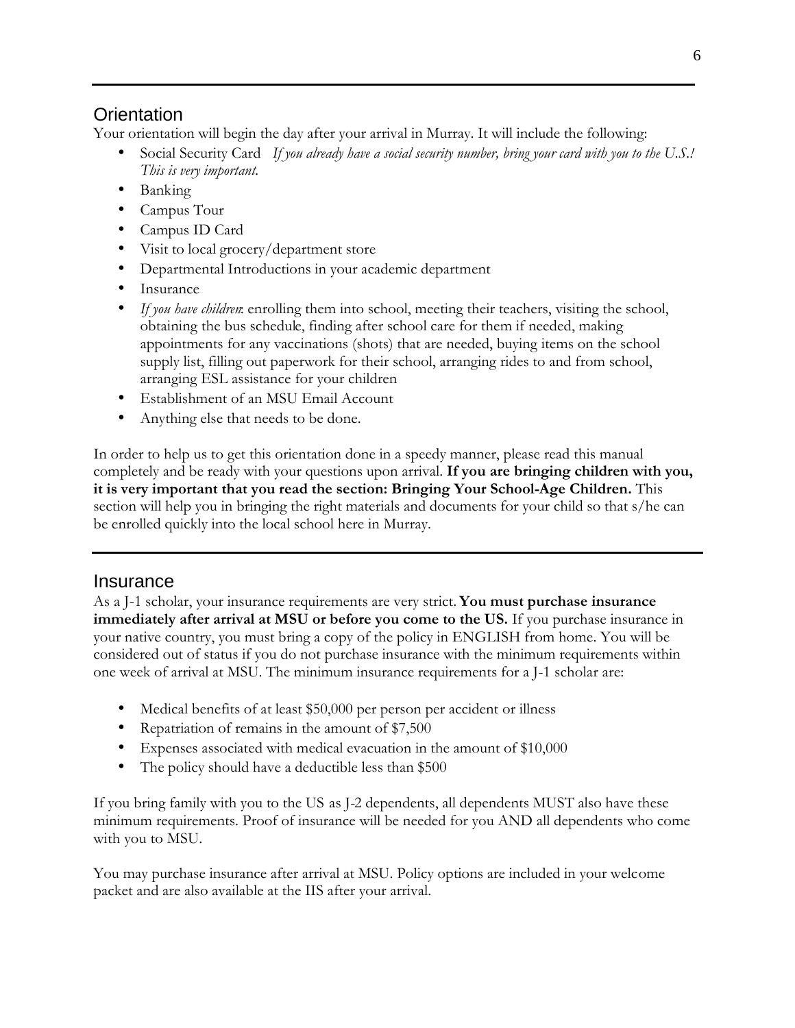# **Orientation**

Your orientation will begin the day after your arrival in Murray. It will include the following:

- Social Security Card *If you already have a social security number, bring your card with you to the U.S.! This is very important.*
- Banking
- Campus Tour
- Campus ID Card
- Visit to local grocery/department store
- Departmental Introductions in your academic department
- Insurance
- *If you have children*: enrolling them into school, meeting their teachers, visiting the school, obtaining the bus schedule, finding after school care for them if needed, making appointments for any vaccinations (shots) that are needed, buying items on the school supply list, filling out paperwork for their school, arranging rides to and from school, arranging ESL assistance for your children
- Establishment of an MSU Email Account
- Anything else that needs to be done.

In order to help us to get this orientation done in a speedy manner, please read this manual completely and be ready with your questions upon arrival. **If you are bringing children with you, it is very important that you read the section: Bringing Your School-Age Children.** This section will help you in bringing the right materials and documents for your child so that s/he can be enrolled quickly into the local school here in Murray.

# Insurance

As a J-1 scholar, your insurance requirements are very strict. **You must purchase insurance immediately after arrival at MSU or before you come to the US.** If you purchase insurance in your native country, you must bring a copy of the policy in ENGLISH from home. You will be considered out of status if you do not purchase insurance with the minimum requirements within one week of arrival at MSU. The minimum insurance requirements for a J-1 scholar are:

- Medical benefits of at least \$50,000 per person per accident or illness
- Repatriation of remains in the amount of \$7,500
- Expenses associated with medical evacuation in the amount of \$10,000
- The policy should have a deductible less than \$500

If you bring family with you to the US as J-2 dependents, all dependents MUST also have these minimum requirements. Proof of insurance will be needed for you AND all dependents who come with you to MSU.

You may purchase insurance after arrival at MSU. Policy options are included in your welcome packet and are also available at the IIS after your arrival.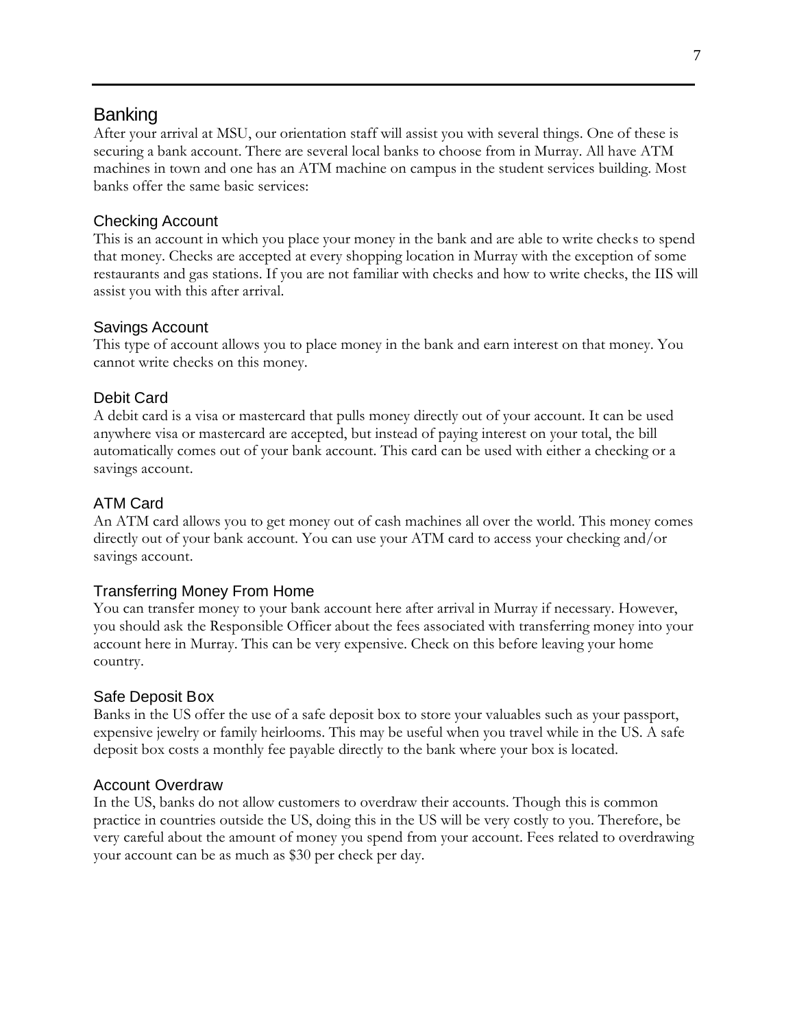## Banking

After your arrival at MSU, our orientation staff will assist you with several things. One of these is securing a bank account. There are several local banks to choose from in Murray. All have ATM machines in town and one has an ATM machine on campus in the student services building. Most banks offer the same basic services:

#### Checking Account

This is an account in which you place your money in the bank and are able to write checks to spend that money. Checks are accepted at every shopping location in Murray with the exception of some restaurants and gas stations. If you are not familiar with checks and how to write checks, the IIS will assist you with this after arrival.

#### Savings Account

This type of account allows you to place money in the bank and earn interest on that money. You cannot write checks on this money.

#### Debit Card

A debit card is a visa or mastercard that pulls money directly out of your account. It can be used anywhere visa or mastercard are accepted, but instead of paying interest on your total, the bill automatically comes out of your bank account. This card can be used with either a checking or a savings account.

### ATM Card

An ATM card allows you to get money out of cash machines all over the world. This money comes directly out of your bank account. You can use your ATM card to access your checking and/or savings account.

#### Transferring Money From Home

You can transfer money to your bank account here after arrival in Murray if necessary. However, you should ask the Responsible Officer about the fees associated with transferring money into your account here in Murray. This can be very expensive. Check on this before leaving your home country.

#### Safe Deposit Box

Banks in the US offer the use of a safe deposit box to store your valuables such as your passport, expensive jewelry or family heirlooms. This may be useful when you travel while in the US. A safe deposit box costs a monthly fee payable directly to the bank where your box is located.

#### Account Overdraw

In the US, banks do not allow customers to overdraw their accounts. Though this is common practice in countries outside the US, doing this in the US will be very costly to you. Therefore, be very careful about the amount of money you spend from your account. Fees related to overdrawing your account can be as much as \$30 per check per day.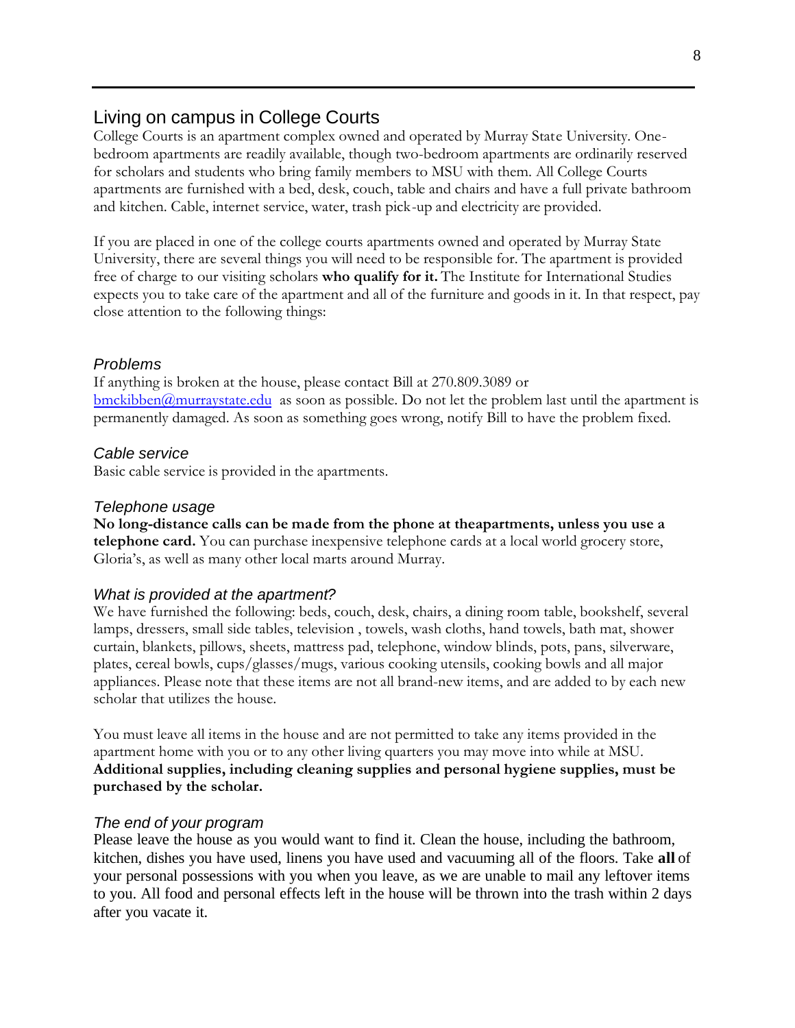## Living on campus in College Courts

College Courts is an apartment complex owned and operated by Murray State University. Onebedroom apartments are readily available, though two-bedroom apartments are ordinarily reserved for scholars and students who bring family members to MSU with them. All College Courts apartments are furnished with a bed, desk, couch, table and chairs and have a full private bathroom and kitchen. Cable, internet service, water, trash pick-up and electricity are provided.

If you are placed in one of the college courts apartments owned and operated by Murray State University, there are several things you will need to be responsible for. The apartment is provided free of charge to our visiting scholars **who qualify for it.** The Institute for International Studies expects you to take care of the apartment and all of the furniture and goods in it. In that respect, pay close attention to the following things:

#### *Problems*

If anything is broken at the house, please contact Bill at 270.809.3089 or  $b$ mckibben $@$ murraystate.edu as soon as possible. Do not let the problem last until the apartment is permanently damaged. As soon as something goes wrong, notify Bill to have the problem fixed.

#### *Cable service*

Basic cable service is provided in the apartments.

#### *Telephone usage*

**No long-distance calls can be made from the phone at theapartments, unless you use a telephone card.** You can purchase inexpensive telephone cards at a local world grocery store, Gloria's, as well as many other local marts around Murray.

#### *What is provided at the apartment?*

We have furnished the following: beds, couch, desk, chairs, a dining room table, bookshelf, several lamps, dressers, small side tables, television , towels, wash cloths, hand towels, bath mat, shower curtain, blankets, pillows, sheets, mattress pad, telephone, window blinds, pots, pans, silverware, plates, cereal bowls, cups/glasses/mugs, various cooking utensils, cooking bowls and all major appliances. Please note that these items are not all brand-new items, and are added to by each new scholar that utilizes the house.

You must leave all items in the house and are not permitted to take any items provided in the apartment home with you or to any other living quarters you may move into while at MSU. **Additional supplies, including cleaning supplies and personal hygiene supplies, must be purchased by the scholar.** 

#### *The end of your program*

Please leave the house as you would want to find it. Clean the house, including the bathroom, kitchen, dishes you have used, linens you have used and vacuuming all of the floors. Take **all** of your personal possessions with you when you leave, as we are unable to mail any leftover items to you. All food and personal effects left in the house will be thrown into the trash within 2 days after you vacate it.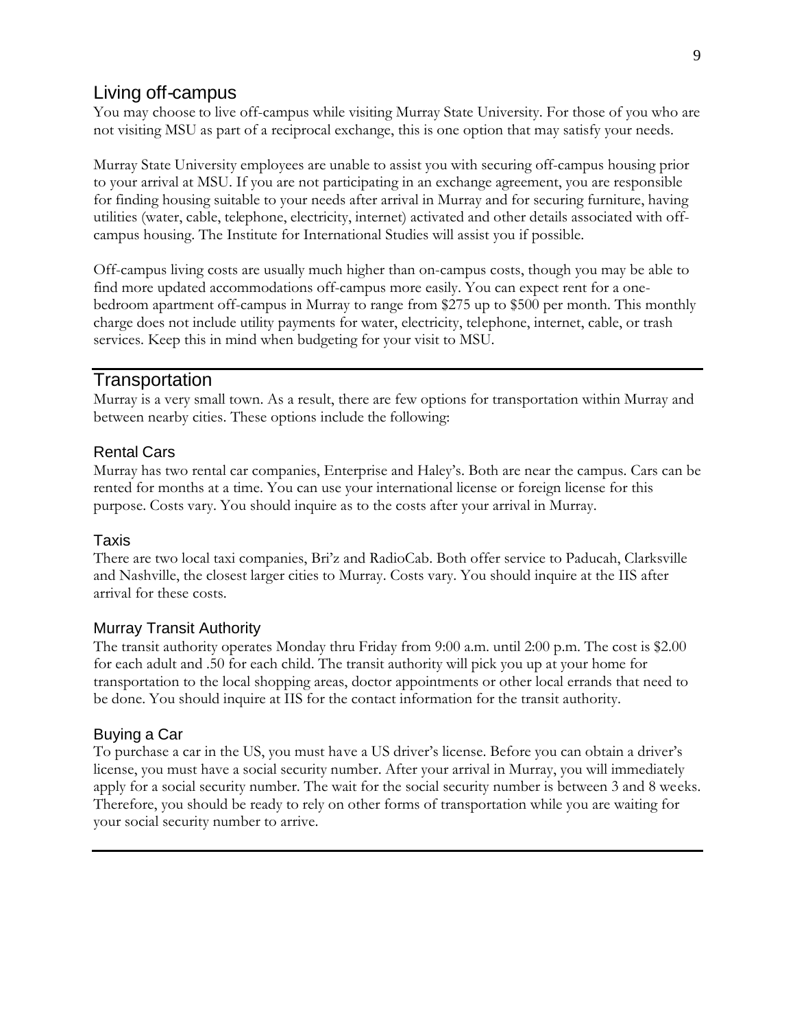## Living off-campus

You may choose to live off-campus while visiting Murray State University. For those of you who are not visiting MSU as part of a reciprocal exchange, this is one option that may satisfy your needs.

Murray State University employees are unable to assist you with securing off-campus housing prior to your arrival at MSU. If you are not participating in an exchange agreement, you are responsible for finding housing suitable to your needs after arrival in Murray and for securing furniture, having utilities (water, cable, telephone, electricity, internet) activated and other details associated with offcampus housing. The Institute for International Studies will assist you if possible.

Off-campus living costs are usually much higher than on-campus costs, though you may be able to find more updated accommodations off-campus more easily. You can expect rent for a onebedroom apartment off-campus in Murray to range from \$275 up to \$500 per month. This monthly charge does not include utility payments for water, electricity, telephone, internet, cable, or trash services. Keep this in mind when budgeting for your visit to MSU.

### Transportation

Murray is a very small town. As a result, there are few options for transportation within Murray and between nearby cities. These options include the following:

### Rental Cars

Murray has two rental car companies, Enterprise and Haley's. Both are near the campus. Cars can be rented for months at a time. You can use your international license or foreign license for this purpose. Costs vary. You should inquire as to the costs after your arrival in Murray.

#### Taxis

There are two local taxi companies, Bri'z and RadioCab. Both offer service to Paducah, Clarksville and Nashville, the closest larger cities to Murray. Costs vary. You should inquire at the IIS after arrival for these costs.

#### Murray Transit Authority

The transit authority operates Monday thru Friday from 9:00 a.m. until 2:00 p.m. The cost is \$2.00 for each adult and .50 for each child. The transit authority will pick you up at your home for transportation to the local shopping areas, doctor appointments or other local errands that need to be done. You should inquire at IIS for the contact information for the transit authority.

### Buying a Car

To purchase a car in the US, you must have a US driver's license. Before you can obtain a driver's license, you must have a social security number. After your arrival in Murray, you will immediately apply for a social security number. The wait for the social security number is between 3 and 8 weeks. Therefore, you should be ready to rely on other forms of transportation while you are waiting for your social security number to arrive.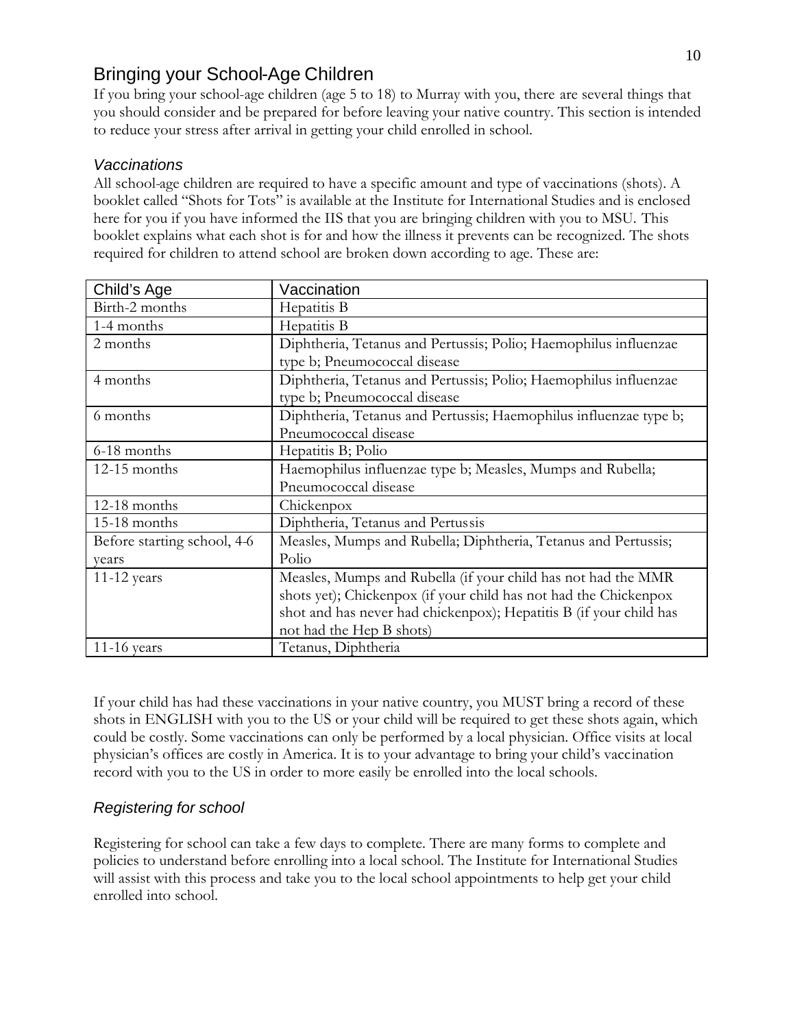# Bringing your School-Age Children

If you bring your school-age children (age 5 to 18) to Murray with you, there are several things that you should consider and be prepared for before leaving your native country. This section is intended to reduce your stress after arrival in getting your child enrolled in school.

## *Vaccinations*

All school-age children are required to have a specific amount and type of vaccinations (shots). A booklet called "Shots for Tots" is available at the Institute for International Studies and is enclosed here for you if you have informed the IIS that you are bringing children with you to MSU. This booklet explains what each shot is for and how the illness it prevents can be recognized. The shots required for children to attend school are broken down according to age. These are:

| Child's Age                 | Vaccination                                                        |
|-----------------------------|--------------------------------------------------------------------|
| Birth-2 months              | Hepatitis B                                                        |
| 1-4 months                  | Hepatitis B                                                        |
| 2 months                    | Diphtheria, Tetanus and Pertussis; Polio; Haemophilus influenzae   |
|                             | type b; Pneumococcal disease                                       |
| 4 months                    | Diphtheria, Tetanus and Pertussis; Polio; Haemophilus influenzae   |
|                             | type b; Pneumococcal disease                                       |
| 6 months                    | Diphtheria, Tetanus and Pertussis; Haemophilus influenzae type b;  |
|                             | Pneumococcal disease                                               |
| 6-18 months                 | Hepatitis B; Polio                                                 |
| 12-15 months                | Haemophilus influenzae type b; Measles, Mumps and Rubella;         |
|                             | Pneumococcal disease                                               |
| 12-18 months                | Chickenpox                                                         |
| 15-18 months                | Diphtheria, Tetanus and Pertussis                                  |
| Before starting school, 4-6 | Measles, Mumps and Rubella; Diphtheria, Tetanus and Pertussis;     |
| years                       | Polio                                                              |
| $11-12$ years               | Measles, Mumps and Rubella (if your child has not had the MMR      |
|                             | shots yet); Chickenpox (if your child has not had the Chickenpox   |
|                             | shot and has never had chickenpox); Hepatitis B (if your child has |
|                             | not had the Hep B shots)                                           |
| $11-16$ years               | Tetanus, Diphtheria                                                |

If your child has had these vaccinations in your native country, you MUST bring a record of these shots in ENGLISH with you to the US or your child will be required to get these shots again, which could be costly. Some vaccinations can only be performed by a local physician. Office visits at local physician's offices are costly in America. It is to your advantage to bring your child's vaccination record with you to the US in order to more easily be enrolled into the local schools.

## *Registering for school*

Registering for school can take a few days to complete. There are many forms to complete and policies to understand before enrolling into a local school. The Institute for International Studies will assist with this process and take you to the local school appointments to help get your child enrolled into school.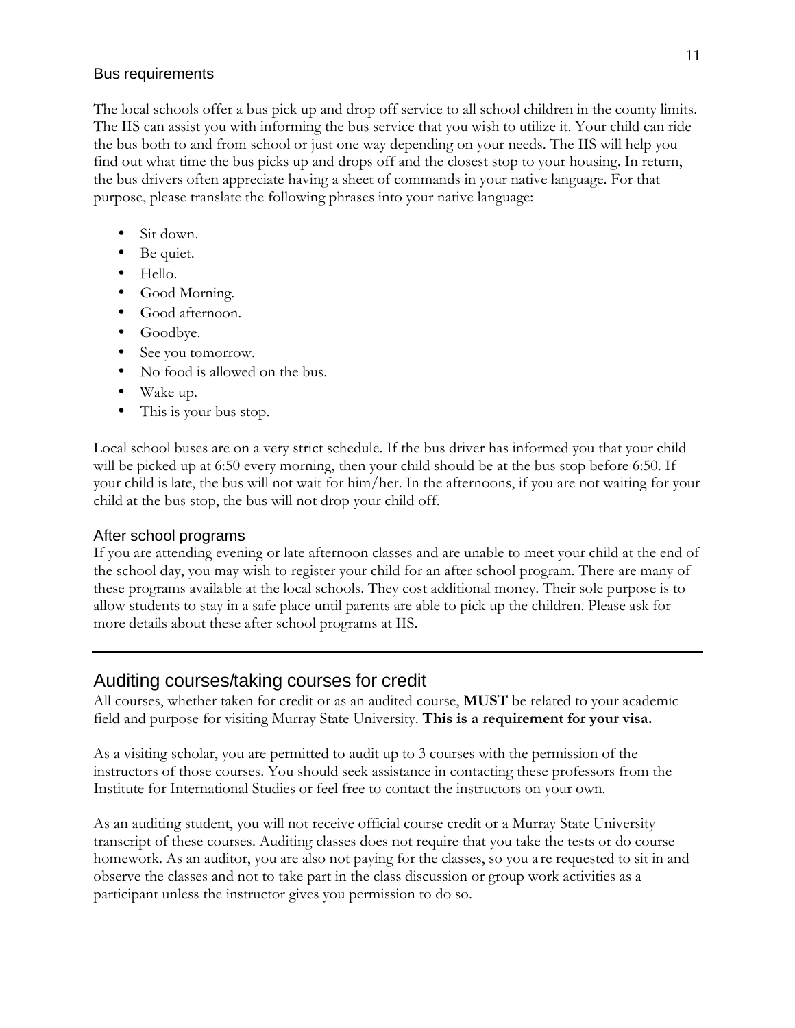#### Bus requirements

The local schools offer a bus pick up and drop off service to all school children in the county limits. The IIS can assist you with informing the bus service that you wish to utilize it. Your child can ride the bus both to and from school or just one way depending on your needs. The IIS will help you find out what time the bus picks up and drops off and the closest stop to your housing. In return, the bus drivers often appreciate having a sheet of commands in your native language. For that purpose, please translate the following phrases into your native language:

- Sit down.
- Be quiet.
- Hello.
- Good Morning.
- Good afternoon.
- Goodbye.
- See you tomorrow.
- No food is allowed on the bus.
- Wake up.
- This is your bus stop.

Local school buses are on a very strict schedule. If the bus driver has informed you that your child will be picked up at 6:50 every morning, then your child should be at the bus stop before 6:50. If your child is late, the bus will not wait for him/her. In the afternoons, if you are not waiting for your child at the bus stop, the bus will not drop your child off.

#### After school programs

If you are attending evening or late afternoon classes and are unable to meet your child at the end of the school day, you may wish to register your child for an after-school program. There are many of these programs available at the local schools. They cost additional money. Their sole purpose is to allow students to stay in a safe place until parents are able to pick up the children. Please ask for more details about these after school programs at IIS.

## Auditing courses/taking courses for credit

All courses, whether taken for credit or as an audited course, **MUST** be related to your academic field and purpose for visiting Murray State University. **This is a requirement for your visa.**

As a visiting scholar, you are permitted to audit up to 3 courses with the permission of the instructors of those courses. You should seek assistance in contacting these professors from the Institute for International Studies or feel free to contact the instructors on your own.

As an auditing student, you will not receive official course credit or a Murray State University transcript of these courses. Auditing classes does not require that you take the tests or do course homework. As an auditor, you are also not paying for the classes, so you a re requested to sit in and observe the classes and not to take part in the class discussion or group work activities as a participant unless the instructor gives you permission to do so.